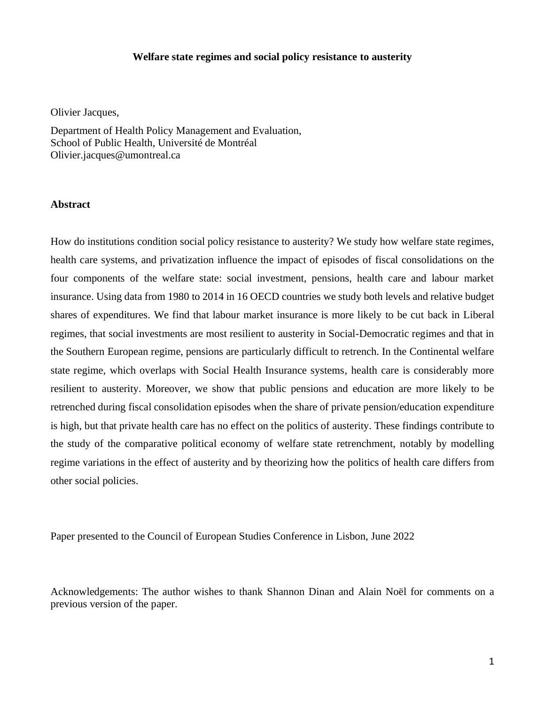#### **Welfare state regimes and social policy resistance to austerity**

Olivier Jacques,

Department of Health Policy Management and Evaluation, School of Public Health, Université de Montréal Olivier.jacques@umontreal.ca

#### **Abstract**

How do institutions condition social policy resistance to austerity? We study how welfare state regimes, health care systems, and privatization influence the impact of episodes of fiscal consolidations on the four components of the welfare state: social investment, pensions, health care and labour market insurance. Using data from 1980 to 2014 in 16 OECD countries we study both levels and relative budget shares of expenditures. We find that labour market insurance is more likely to be cut back in Liberal regimes, that social investments are most resilient to austerity in Social-Democratic regimes and that in the Southern European regime, pensions are particularly difficult to retrench. In the Continental welfare state regime, which overlaps with Social Health Insurance systems, health care is considerably more resilient to austerity. Moreover, we show that public pensions and education are more likely to be retrenched during fiscal consolidation episodes when the share of private pension/education expenditure is high, but that private health care has no effect on the politics of austerity. These findings contribute to the study of the comparative political economy of welfare state retrenchment, notably by modelling regime variations in the effect of austerity and by theorizing how the politics of health care differs from other social policies.

Paper presented to the Council of European Studies Conference in Lisbon, June 2022

Acknowledgements: The author wishes to thank Shannon Dinan and Alain Noël for comments on a previous version of the paper.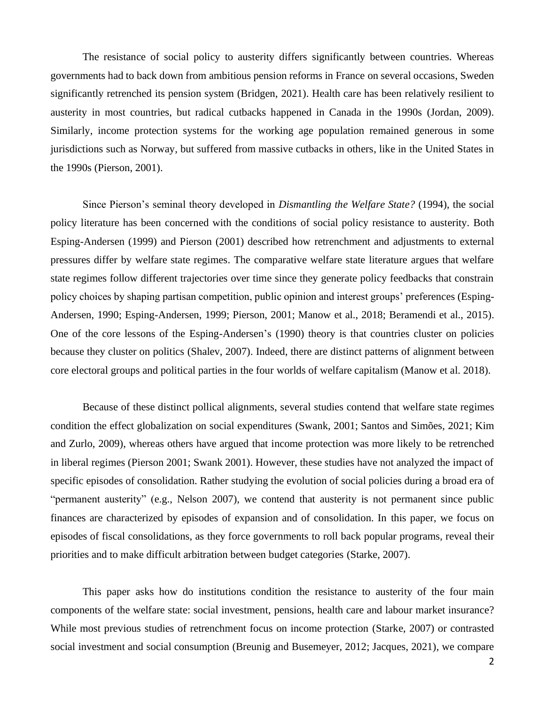The resistance of social policy to austerity differs significantly between countries. Whereas governments had to back down from ambitious pension reforms in France on several occasions, Sweden significantly retrenched its pension system (Bridgen, 2021). Health care has been relatively resilient to austerity in most countries, but radical cutbacks happened in Canada in the 1990s (Jordan, 2009). Similarly, income protection systems for the working age population remained generous in some jurisdictions such as Norway, but suffered from massive cutbacks in others, like in the United States in the 1990s (Pierson, 2001).

Since Pierson's seminal theory developed in *Dismantling the Welfare State?* (1994), the social policy literature has been concerned with the conditions of social policy resistance to austerity. Both Esping-Andersen (1999) and Pierson (2001) described how retrenchment and adjustments to external pressures differ by welfare state regimes. The comparative welfare state literature argues that welfare state regimes follow different trajectories over time since they generate policy feedbacks that constrain policy choices by shaping partisan competition, public opinion and interest groups' preferences (Esping-Andersen, 1990; Esping-Andersen, 1999; Pierson, 2001; Manow et al., 2018; Beramendi et al., 2015). One of the core lessons of the Esping-Andersen's (1990) theory is that countries cluster on policies because they cluster on politics (Shalev, 2007). Indeed, there are distinct patterns of alignment between core electoral groups and political parties in the four worlds of welfare capitalism (Manow et al. 2018).

Because of these distinct pollical alignments, several studies contend that welfare state regimes condition the effect globalization on social expenditures (Swank, 2001; Santos and Simões, 2021; Kim and Zurlo, 2009), whereas others have argued that income protection was more likely to be retrenched in liberal regimes (Pierson 2001; Swank 2001). However, these studies have not analyzed the impact of specific episodes of consolidation. Rather studying the evolution of social policies during a broad era of "permanent austerity" (e.g., Nelson 2007), we contend that austerity is not permanent since public finances are characterized by episodes of expansion and of consolidation. In this paper, we focus on episodes of fiscal consolidations, as they force governments to roll back popular programs, reveal their priorities and to make difficult arbitration between budget categories (Starke, 2007).

This paper asks how do institutions condition the resistance to austerity of the four main components of the welfare state: social investment, pensions, health care and labour market insurance? While most previous studies of retrenchment focus on income protection (Starke, 2007) or contrasted social investment and social consumption (Breunig and Busemeyer, 2012; Jacques, 2021), we compare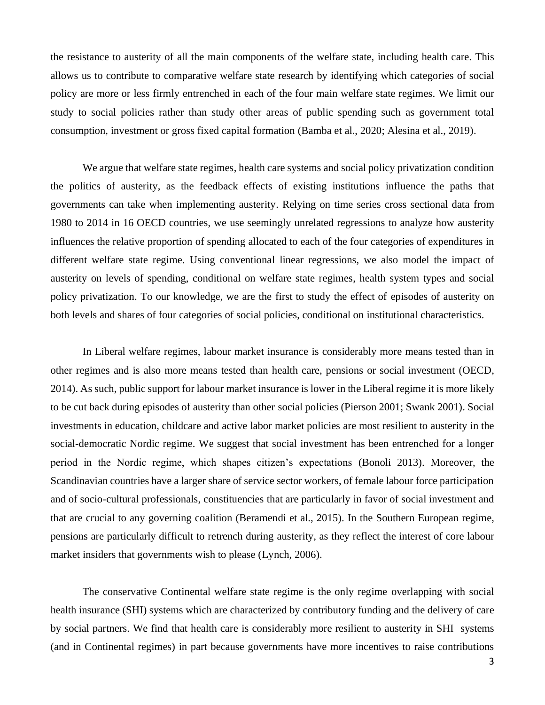the resistance to austerity of all the main components of the welfare state, including health care. This allows us to contribute to comparative welfare state research by identifying which categories of social policy are more or less firmly entrenched in each of the four main welfare state regimes. We limit our study to social policies rather than study other areas of public spending such as government total consumption, investment or gross fixed capital formation (Bamba et al., 2020; Alesina et al., 2019).

We argue that welfare state regimes, health care systems and social policy privatization condition the politics of austerity, as the feedback effects of existing institutions influence the paths that governments can take when implementing austerity. Relying on time series cross sectional data from 1980 to 2014 in 16 OECD countries, we use seemingly unrelated regressions to analyze how austerity influences the relative proportion of spending allocated to each of the four categories of expenditures in different welfare state regime. Using conventional linear regressions, we also model the impact of austerity on levels of spending, conditional on welfare state regimes, health system types and social policy privatization. To our knowledge, we are the first to study the effect of episodes of austerity on both levels and shares of four categories of social policies, conditional on institutional characteristics.

In Liberal welfare regimes, labour market insurance is considerably more means tested than in other regimes and is also more means tested than health care, pensions or social investment (OECD, 2014). As such, public support for labour market insurance is lower in the Liberal regime it is more likely to be cut back during episodes of austerity than other social policies (Pierson 2001; Swank 2001). Social investments in education, childcare and active labor market policies are most resilient to austerity in the social-democratic Nordic regime. We suggest that social investment has been entrenched for a longer period in the Nordic regime, which shapes citizen's expectations (Bonoli 2013). Moreover, the Scandinavian countries have a larger share of service sector workers, of female labour force participation and of socio-cultural professionals, constituencies that are particularly in favor of social investment and that are crucial to any governing coalition (Beramendi et al., 2015). In the Southern European regime, pensions are particularly difficult to retrench during austerity, as they reflect the interest of core labour market insiders that governments wish to please (Lynch, 2006).

The conservative Continental welfare state regime is the only regime overlapping with social health insurance (SHI) systems which are characterized by contributory funding and the delivery of care by social partners. We find that health care is considerably more resilient to austerity in SHI systems (and in Continental regimes) in part because governments have more incentives to raise contributions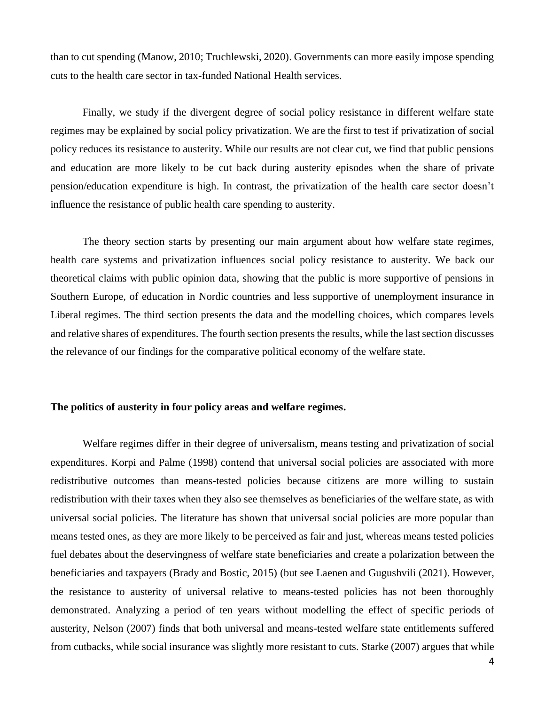than to cut spending (Manow, 2010; Truchlewski, 2020). Governments can more easily impose spending cuts to the health care sector in tax-funded National Health services.

Finally, we study if the divergent degree of social policy resistance in different welfare state regimes may be explained by social policy privatization. We are the first to test if privatization of social policy reduces its resistance to austerity. While our results are not clear cut, we find that public pensions and education are more likely to be cut back during austerity episodes when the share of private pension/education expenditure is high. In contrast, the privatization of the health care sector doesn't influence the resistance of public health care spending to austerity.

The theory section starts by presenting our main argument about how welfare state regimes, health care systems and privatization influences social policy resistance to austerity. We back our theoretical claims with public opinion data, showing that the public is more supportive of pensions in Southern Europe, of education in Nordic countries and less supportive of unemployment insurance in Liberal regimes. The third section presents the data and the modelling choices, which compares levels and relative shares of expenditures. The fourth section presents the results, while the last section discusses the relevance of our findings for the comparative political economy of the welfare state.

## **The politics of austerity in four policy areas and welfare regimes.**

Welfare regimes differ in their degree of universalism, means testing and privatization of social expenditures. Korpi and Palme (1998) contend that universal social policies are associated with more redistributive outcomes than means-tested policies because citizens are more willing to sustain redistribution with their taxes when they also see themselves as beneficiaries of the welfare state, as with universal social policies. The literature has shown that universal social policies are more popular than means tested ones, as they are more likely to be perceived as fair and just, whereas means tested policies fuel debates about the deservingness of welfare state beneficiaries and create a polarization between the beneficiaries and taxpayers (Brady and Bostic, 2015) (but see Laenen and Gugushvili (2021). However, the resistance to austerity of universal relative to means-tested policies has not been thoroughly demonstrated. Analyzing a period of ten years without modelling the effect of specific periods of austerity, Nelson (2007) finds that both universal and means-tested welfare state entitlements suffered from cutbacks, while social insurance was slightly more resistant to cuts. Starke (2007) argues that while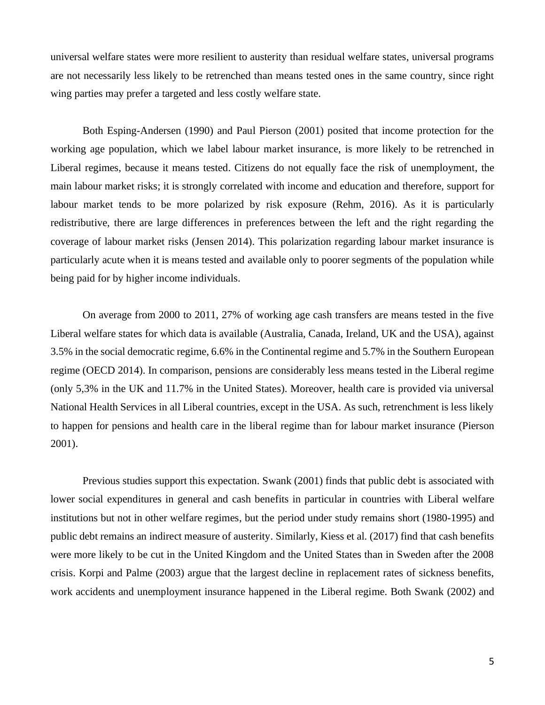universal welfare states were more resilient to austerity than residual welfare states, universal programs are not necessarily less likely to be retrenched than means tested ones in the same country, since right wing parties may prefer a targeted and less costly welfare state.

Both Esping-Andersen (1990) and Paul Pierson (2001) posited that income protection for the working age population, which we label labour market insurance, is more likely to be retrenched in Liberal regimes, because it means tested. Citizens do not equally face the risk of unemployment, the main labour market risks; it is strongly correlated with income and education and therefore, support for labour market tends to be more polarized by risk exposure (Rehm, 2016). As it is particularly redistributive, there are large differences in preferences between the left and the right regarding the coverage of labour market risks (Jensen 2014). This polarization regarding labour market insurance is particularly acute when it is means tested and available only to poorer segments of the population while being paid for by higher income individuals.

On average from 2000 to 2011, 27% of working age cash transfers are means tested in the five Liberal welfare states for which data is available (Australia, Canada, Ireland, UK and the USA), against 3.5% in the social democratic regime, 6.6% in the Continental regime and 5.7% in the Southern European regime (OECD 2014). In comparison, pensions are considerably less means tested in the Liberal regime (only 5,3% in the UK and 11.7% in the United States). Moreover, health care is provided via universal National Health Services in all Liberal countries, except in the USA. As such, retrenchment is less likely to happen for pensions and health care in the liberal regime than for labour market insurance (Pierson 2001).

Previous studies support this expectation. Swank (2001) finds that public debt is associated with lower social expenditures in general and cash benefits in particular in countries with Liberal welfare institutions but not in other welfare regimes, but the period under study remains short (1980-1995) and public debt remains an indirect measure of austerity. Similarly, Kiess et al. (2017) find that cash benefits were more likely to be cut in the United Kingdom and the United States than in Sweden after the 2008 crisis. Korpi and Palme (2003) argue that the largest decline in replacement rates of sickness benefits, work accidents and unemployment insurance happened in the Liberal regime. Both Swank (2002) and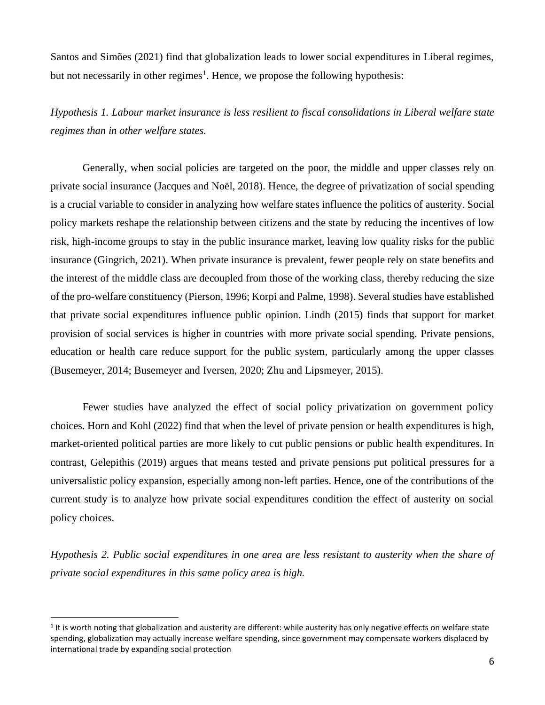Santos and Simões (2021) find that globalization leads to lower social expenditures in Liberal regimes, but not necessarily in other regimes<sup>1</sup>. Hence, we propose the following hypothesis:

*Hypothesis 1. Labour market insurance is less resilient to fiscal consolidations in Liberal welfare state regimes than in other welfare states.* 

Generally, when social policies are targeted on the poor, the middle and upper classes rely on private social insurance (Jacques and Noël, 2018). Hence, the degree of privatization of social spending is a crucial variable to consider in analyzing how welfare states influence the politics of austerity. Social policy markets reshape the relationship between citizens and the state by reducing the incentives of low risk, high-income groups to stay in the public insurance market, leaving low quality risks for the public insurance (Gingrich, 2021). When private insurance is prevalent, fewer people rely on state benefits and the interest of the middle class are decoupled from those of the working class, thereby reducing the size of the pro-welfare constituency (Pierson, 1996; Korpi and Palme, 1998). Several studies have established that private social expenditures influence public opinion. Lindh (2015) finds that support for market provision of social services is higher in countries with more private social spending. Private pensions, education or health care reduce support for the public system, particularly among the upper classes (Busemeyer, 2014; Busemeyer and Iversen, 2020; Zhu and Lipsmeyer, 2015).

Fewer studies have analyzed the effect of social policy privatization on government policy choices. Horn and Kohl (2022) find that when the level of private pension or health expenditures is high, market-oriented political parties are more likely to cut public pensions or public health expenditures. In contrast, Gelepithis (2019) argues that means tested and private pensions put political pressures for a universalistic policy expansion, especially among non-left parties. Hence, one of the contributions of the current study is to analyze how private social expenditures condition the effect of austerity on social policy choices.

*Hypothesis 2. Public social expenditures in one area are less resistant to austerity when the share of private social expenditures in this same policy area is high.*

<sup>&</sup>lt;sup>1</sup> It is worth noting that globalization and austerity are different: while austerity has only negative effects on welfare state spending, globalization may actually increase welfare spending, since government may compensate workers displaced by international trade by expanding social protection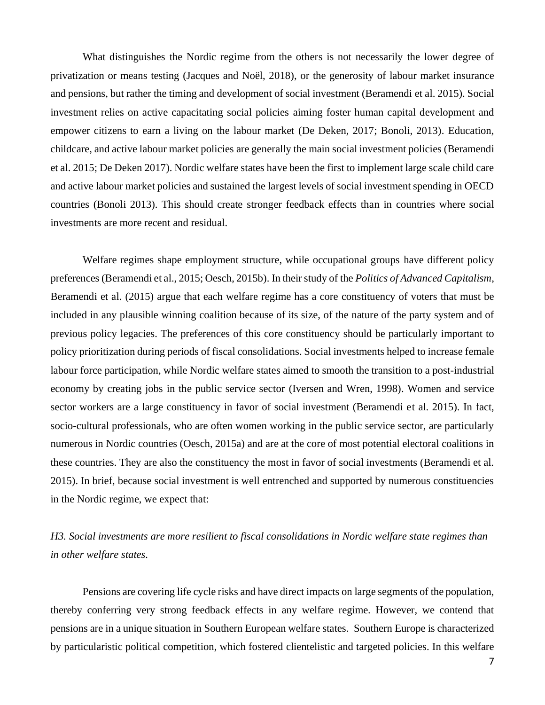What distinguishes the Nordic regime from the others is not necessarily the lower degree of privatization or means testing (Jacques and Noël, 2018), or the generosity of labour market insurance and pensions, but rather the timing and development of social investment (Beramendi et al. 2015). Social investment relies on active capacitating social policies aiming foster human capital development and empower citizens to earn a living on the labour market (De Deken, 2017; Bonoli, 2013). Education, childcare, and active labour market policies are generally the main social investment policies (Beramendi et al. 2015; De Deken 2017). Nordic welfare states have been the first to implement large scale child care and active labour market policies and sustained the largest levels of social investment spending in OECD countries (Bonoli 2013). This should create stronger feedback effects than in countries where social investments are more recent and residual.

Welfare regimes shape employment structure, while occupational groups have different policy preferences (Beramendi et al., 2015; Oesch, 2015b). In their study of the *Politics of Advanced Capitalism*, Beramendi et al. (2015) argue that each welfare regime has a core constituency of voters that must be included in any plausible winning coalition because of its size, of the nature of the party system and of previous policy legacies. The preferences of this core constituency should be particularly important to policy prioritization during periods of fiscal consolidations. Social investments helped to increase female labour force participation, while Nordic welfare states aimed to smooth the transition to a post-industrial economy by creating jobs in the public service sector (Iversen and Wren, 1998). Women and service sector workers are a large constituency in favor of social investment (Beramendi et al. 2015). In fact, socio-cultural professionals, who are often women working in the public service sector, are particularly numerous in Nordic countries (Oesch, 2015a) and are at the core of most potential electoral coalitions in these countries. They are also the constituency the most in favor of social investments (Beramendi et al. 2015). In brief, because social investment is well entrenched and supported by numerous constituencies in the Nordic regime, we expect that:

# *H3. Social investments are more resilient to fiscal consolidations in Nordic welfare state regimes than in other welfare states.*

Pensions are covering life cycle risks and have direct impacts on large segments of the population, thereby conferring very strong feedback effects in any welfare regime. However, we contend that pensions are in a unique situation in Southern European welfare states. Southern Europe is characterized by particularistic political competition, which fostered clientelistic and targeted policies. In this welfare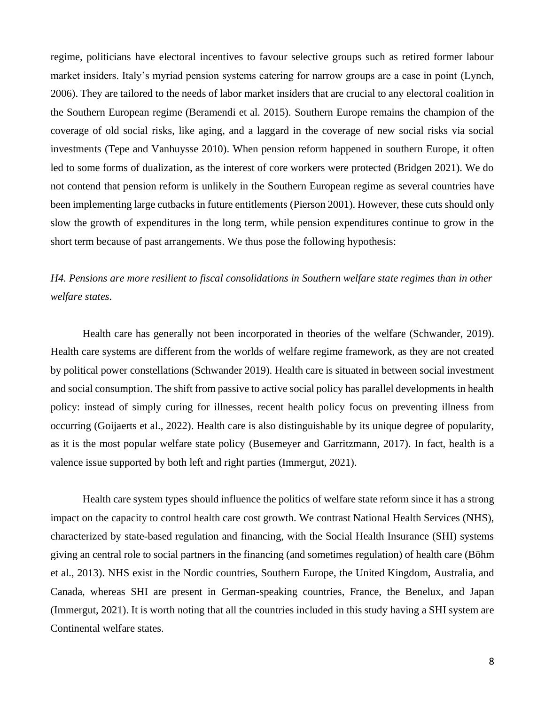regime, politicians have electoral incentives to favour selective groups such as retired former labour market insiders. Italy's myriad pension systems catering for narrow groups are a case in point (Lynch, 2006). They are tailored to the needs of labor market insiders that are crucial to any electoral coalition in the Southern European regime (Beramendi et al. 2015). Southern Europe remains the champion of the coverage of old social risks, like aging, and a laggard in the coverage of new social risks via social investments (Tepe and Vanhuysse 2010). When pension reform happened in southern Europe, it often led to some forms of dualization, as the interest of core workers were protected (Bridgen 2021). We do not contend that pension reform is unlikely in the Southern European regime as several countries have been implementing large cutbacks in future entitlements (Pierson 2001). However, these cuts should only slow the growth of expenditures in the long term, while pension expenditures continue to grow in the short term because of past arrangements. We thus pose the following hypothesis:

*H4. Pensions are more resilient to fiscal consolidations in Southern welfare state regimes than in other welfare states.*

Health care has generally not been incorporated in theories of the welfare (Schwander, 2019). Health care systems are different from the worlds of welfare regime framework, as they are not created by political power constellations (Schwander 2019). Health care is situated in between social investment and social consumption. The shift from passive to active social policy has parallel developments in health policy: instead of simply curing for illnesses, recent health policy focus on preventing illness from occurring (Goijaerts et al., 2022). Health care is also distinguishable by its unique degree of popularity, as it is the most popular welfare state policy (Busemeyer and Garritzmann, 2017). In fact, health is a valence issue supported by both left and right parties (Immergut, 2021).

Health care system types should influence the politics of welfare state reform since it has a strong impact on the capacity to control health care cost growth. We contrast National Health Services (NHS), characterized by state-based regulation and financing, with the Social Health Insurance (SHI) systems giving an central role to social partners in the financing (and sometimes regulation) of health care (Böhm et al., 2013). NHS exist in the Nordic countries, Southern Europe, the United Kingdom, Australia, and Canada, whereas SHI are present in German-speaking countries, France, the Benelux, and Japan (Immergut, 2021). It is worth noting that all the countries included in this study having a SHI system are Continental welfare states.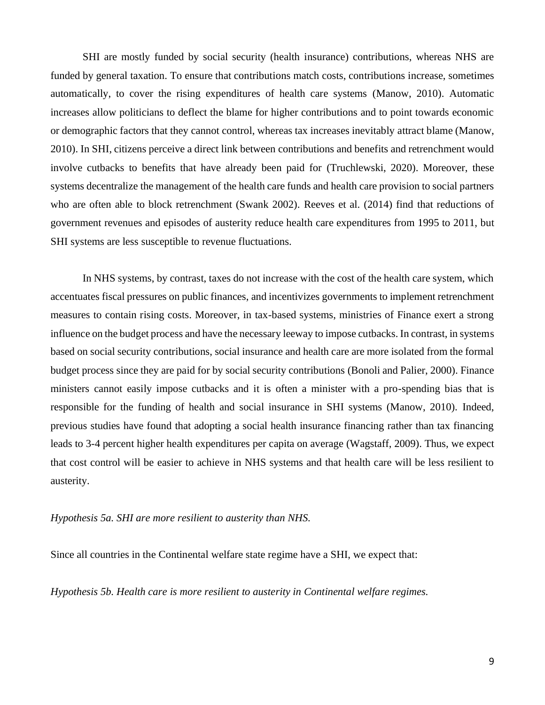SHI are mostly funded by social security (health insurance) contributions, whereas NHS are funded by general taxation. To ensure that contributions match costs, contributions increase, sometimes automatically, to cover the rising expenditures of health care systems (Manow, 2010). Automatic increases allow politicians to deflect the blame for higher contributions and to point towards economic or demographic factors that they cannot control, whereas tax increases inevitably attract blame (Manow, 2010). In SHI, citizens perceive a direct link between contributions and benefits and retrenchment would involve cutbacks to benefits that have already been paid for (Truchlewski, 2020). Moreover, these systems decentralize the management of the health care funds and health care provision to social partners who are often able to block retrenchment (Swank 2002). Reeves et al. (2014) find that reductions of government revenues and episodes of austerity reduce health care expenditures from 1995 to 2011, but SHI systems are less susceptible to revenue fluctuations.

In NHS systems, by contrast, taxes do not increase with the cost of the health care system, which accentuates fiscal pressures on public finances, and incentivizes governments to implement retrenchment measures to contain rising costs. Moreover, in tax-based systems, ministries of Finance exert a strong influence on the budget process and have the necessary leeway to impose cutbacks. In contrast, in systems based on social security contributions, social insurance and health care are more isolated from the formal budget process since they are paid for by social security contributions (Bonoli and Palier, 2000). Finance ministers cannot easily impose cutbacks and it is often a minister with a pro-spending bias that is responsible for the funding of health and social insurance in SHI systems (Manow, 2010). Indeed, previous studies have found that adopting a social health insurance financing rather than tax financing leads to 3-4 percent higher health expenditures per capita on average (Wagstaff, 2009). Thus, we expect that cost control will be easier to achieve in NHS systems and that health care will be less resilient to austerity.

### *Hypothesis 5a. SHI are more resilient to austerity than NHS.*

Since all countries in the Continental welfare state regime have a SHI, we expect that:

*Hypothesis 5b. Health care is more resilient to austerity in Continental welfare regimes.*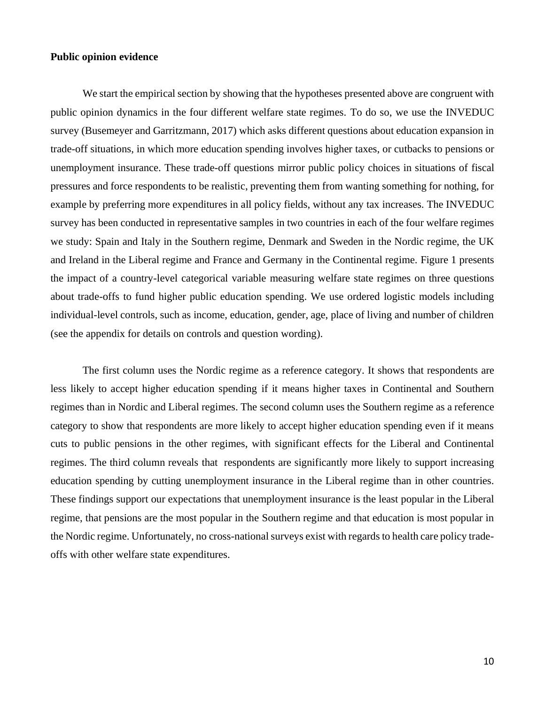#### **Public opinion evidence**

We start the empirical section by showing that the hypotheses presented above are congruent with public opinion dynamics in the four different welfare state regimes. To do so, we use the INVEDUC survey (Busemeyer and Garritzmann, 2017) which asks different questions about education expansion in trade-off situations, in which more education spending involves higher taxes, or cutbacks to pensions or unemployment insurance. These trade-off questions mirror public policy choices in situations of fiscal pressures and force respondents to be realistic, preventing them from wanting something for nothing, for example by preferring more expenditures in all policy fields, without any tax increases. The INVEDUC survey has been conducted in representative samples in two countries in each of the four welfare regimes we study: Spain and Italy in the Southern regime, Denmark and Sweden in the Nordic regime, the UK and Ireland in the Liberal regime and France and Germany in the Continental regime. Figure 1 presents the impact of a country-level categorical variable measuring welfare state regimes on three questions about trade-offs to fund higher public education spending. We use ordered logistic models including individual-level controls, such as income, education, gender, age, place of living and number of children (see the appendix for details on controls and question wording).

The first column uses the Nordic regime as a reference category. It shows that respondents are less likely to accept higher education spending if it means higher taxes in Continental and Southern regimes than in Nordic and Liberal regimes. The second column uses the Southern regime as a reference category to show that respondents are more likely to accept higher education spending even if it means cuts to public pensions in the other regimes, with significant effects for the Liberal and Continental regimes. The third column reveals that respondents are significantly more likely to support increasing education spending by cutting unemployment insurance in the Liberal regime than in other countries. These findings support our expectations that unemployment insurance is the least popular in the Liberal regime, that pensions are the most popular in the Southern regime and that education is most popular in the Nordic regime. Unfortunately, no cross-national surveys exist with regards to health care policy tradeoffs with other welfare state expenditures.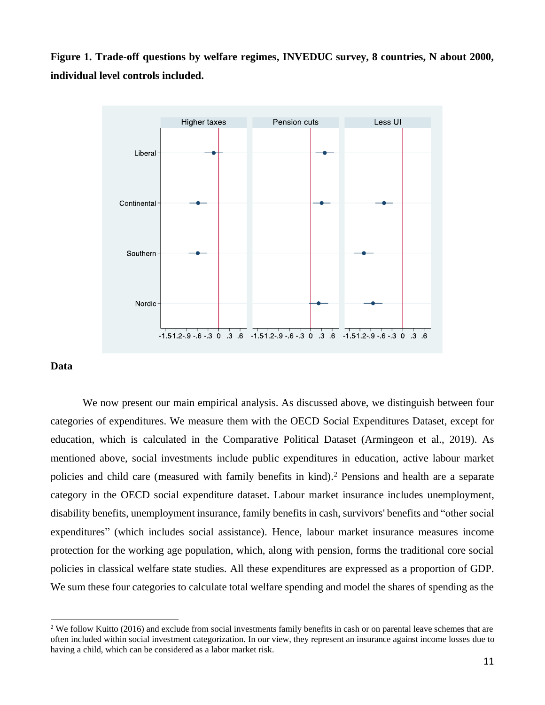**Figure 1. Trade-off questions by welfare regimes, INVEDUC survey, 8 countries, N about 2000, individual level controls included.** 



#### **Data**

We now present our main empirical analysis. As discussed above, we distinguish between four categories of expenditures. We measure them with the OECD Social Expenditures Dataset, except for education, which is calculated in the Comparative Political Dataset (Armingeon et al., 2019). As mentioned above, social investments include public expenditures in education, active labour market policies and child care (measured with family benefits in kind). <sup>2</sup> Pensions and health are a separate category in the OECD social expenditure dataset. Labour market insurance includes unemployment, disability benefits, unemployment insurance, family benefits in cash, survivors' benefits and "other social expenditures" (which includes social assistance). Hence, labour market insurance measures income protection for the working age population, which, along with pension, forms the traditional core social policies in classical welfare state studies. All these expenditures are expressed as a proportion of GDP. We sum these four categories to calculate total welfare spending and model the shares of spending as the

 $2$  We follow Kuitto (2016) and exclude from social investments family benefits in cash or on parental leave schemes that are often included within social investment categorization. In our view, they represent an insurance against income losses due to having a child, which can be considered as a labor market risk.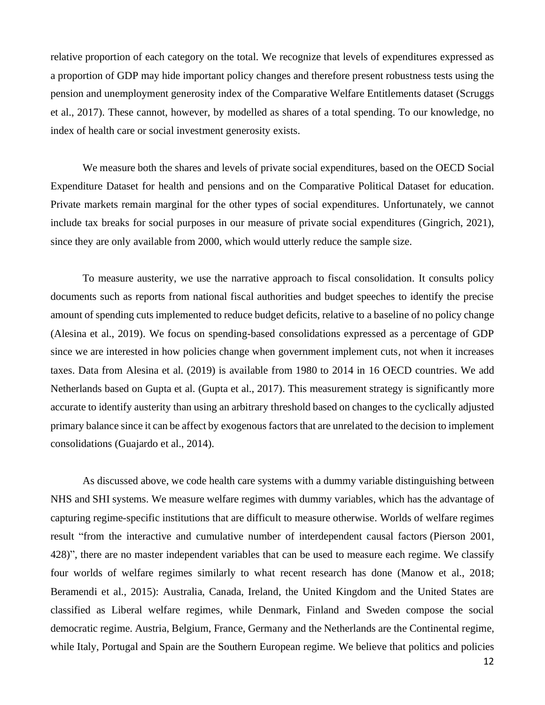relative proportion of each category on the total. We recognize that levels of expenditures expressed as a proportion of GDP may hide important policy changes and therefore present robustness tests using the pension and unemployment generosity index of the Comparative Welfare Entitlements dataset (Scruggs et al., 2017). These cannot, however, by modelled as shares of a total spending. To our knowledge, no index of health care or social investment generosity exists.

We measure both the shares and levels of private social expenditures, based on the OECD Social Expenditure Dataset for health and pensions and on the Comparative Political Dataset for education. Private markets remain marginal for the other types of social expenditures. Unfortunately, we cannot include tax breaks for social purposes in our measure of private social expenditures (Gingrich, 2021), since they are only available from 2000, which would utterly reduce the sample size.

To measure austerity, we use the narrative approach to fiscal consolidation. It consults policy documents such as reports from national fiscal authorities and budget speeches to identify the precise amount of spending cuts implemented to reduce budget deficits, relative to a baseline of no policy change (Alesina et al., 2019). We focus on spending-based consolidations expressed as a percentage of GDP since we are interested in how policies change when government implement cuts, not when it increases taxes. Data from Alesina et al. (2019) is available from 1980 to 2014 in 16 OECD countries. We add Netherlands based on Gupta et al. (Gupta et al., 2017). This measurement strategy is significantly more accurate to identify austerity than using an arbitrary threshold based on changes to the cyclically adjusted primary balance since it can be affect by exogenous factors that are unrelated to the decision to implement consolidations (Guajardo et al., 2014).

As discussed above, we code health care systems with a dummy variable distinguishing between NHS and SHI systems. We measure welfare regimes with dummy variables, which has the advantage of capturing regime-specific institutions that are difficult to measure otherwise. Worlds of welfare regimes result "from the interactive and cumulative number of interdependent causal factors (Pierson 2001, 428)", there are no master independent variables that can be used to measure each regime. We classify four worlds of welfare regimes similarly to what recent research has done (Manow et al., 2018; Beramendi et al., 2015): Australia, Canada, Ireland, the United Kingdom and the United States are classified as Liberal welfare regimes, while Denmark, Finland and Sweden compose the social democratic regime. Austria, Belgium, France, Germany and the Netherlands are the Continental regime, while Italy, Portugal and Spain are the Southern European regime. We believe that politics and policies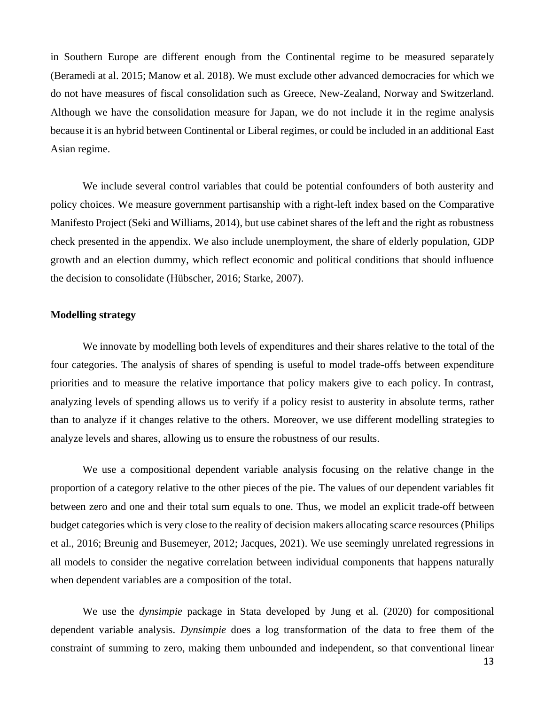in Southern Europe are different enough from the Continental regime to be measured separately (Beramedi at al. 2015; Manow et al. 2018). We must exclude other advanced democracies for which we do not have measures of fiscal consolidation such as Greece, New-Zealand, Norway and Switzerland. Although we have the consolidation measure for Japan, we do not include it in the regime analysis because it is an hybrid between Continental or Liberal regimes, or could be included in an additional East Asian regime.

We include several control variables that could be potential confounders of both austerity and policy choices. We measure government partisanship with a right-left index based on the Comparative Manifesto Project (Seki and Williams, 2014), but use cabinet shares of the left and the right as robustness check presented in the appendix. We also include unemployment, the share of elderly population, GDP growth and an election dummy, which reflect economic and political conditions that should influence the decision to consolidate (Hübscher, 2016; Starke, 2007).

### **Modelling strategy**

We innovate by modelling both levels of expenditures and their shares relative to the total of the four categories. The analysis of shares of spending is useful to model trade-offs between expenditure priorities and to measure the relative importance that policy makers give to each policy. In contrast, analyzing levels of spending allows us to verify if a policy resist to austerity in absolute terms, rather than to analyze if it changes relative to the others. Moreover, we use different modelling strategies to analyze levels and shares, allowing us to ensure the robustness of our results.

We use a compositional dependent variable analysis focusing on the relative change in the proportion of a category relative to the other pieces of the pie. The values of our dependent variables fit between zero and one and their total sum equals to one. Thus, we model an explicit trade-off between budget categories which is very close to the reality of decision makers allocating scarce resources (Philips et al., 2016; Breunig and Busemeyer, 2012; Jacques, 2021). We use seemingly unrelated regressions in all models to consider the negative correlation between individual components that happens naturally when dependent variables are a composition of the total.

We use the *dynsimpie* package in Stata developed by Jung et al. (2020) for compositional dependent variable analysis. *Dynsimpie* does a log transformation of the data to free them of the constraint of summing to zero, making them unbounded and independent, so that conventional linear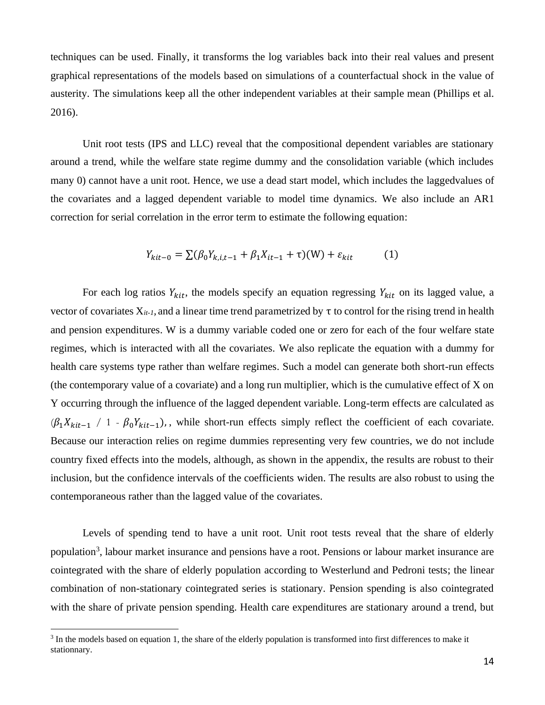techniques can be used. Finally, it transforms the log variables back into their real values and present graphical representations of the models based on simulations of a counterfactual shock in the value of austerity. The simulations keep all the other independent variables at their sample mean (Phillips et al. 2016).

Unit root tests (IPS and LLC) reveal that the compositional dependent variables are stationary around a trend, while the welfare state regime dummy and the consolidation variable (which includes many 0) cannot have a unit root. Hence, we use a dead start model, which includes the laggedvalues of the covariates and a lagged dependent variable to model time dynamics. We also include an AR1 correction for serial correlation in the error term to estimate the following equation:

$$
Y_{kit-0} = \sum (\beta_0 Y_{k,i,t-1} + \beta_1 X_{it-1} + \tau)(W) + \varepsilon_{kit}
$$
 (1)

For each log ratios  $Y_{kit}$ , the models specify an equation regressing  $Y_{kit}$  on its lagged value, a vector of covariates  $X_{it-l}$ , and a linear time trend parametrized by  $\tau$  to control for the rising trend in health and pension expenditures. W is a dummy variable coded one or zero for each of the four welfare state regimes, which is interacted with all the covariates. We also replicate the equation with a dummy for health care systems type rather than welfare regimes. Such a model can generate both short-run effects (the contemporary value of a covariate) and a long run multiplier, which is the cumulative effect of X on Y occurring through the influence of the lagged dependent variable. Long-term effects are calculated as  $(\beta_1 X_{kit-1}$  / 1 -  $\beta_0 Y_{kit-1})$ , while short-run effects simply reflect the coefficient of each covariate. Because our interaction relies on regime dummies representing very few countries, we do not include country fixed effects into the models, although, as shown in the appendix, the results are robust to their inclusion, but the confidence intervals of the coefficients widen. The results are also robust to using the contemporaneous rather than the lagged value of the covariates.

Levels of spending tend to have a unit root. Unit root tests reveal that the share of elderly population<sup>3</sup>, labour market insurance and pensions have a root. Pensions or labour market insurance are cointegrated with the share of elderly population according to Westerlund and Pedroni tests; the linear combination of non-stationary cointegrated series is stationary. Pension spending is also cointegrated with the share of private pension spending. Health care expenditures are stationary around a trend, but

 $3$  In the models based on equation 1, the share of the elderly population is transformed into first differences to make it stationnary.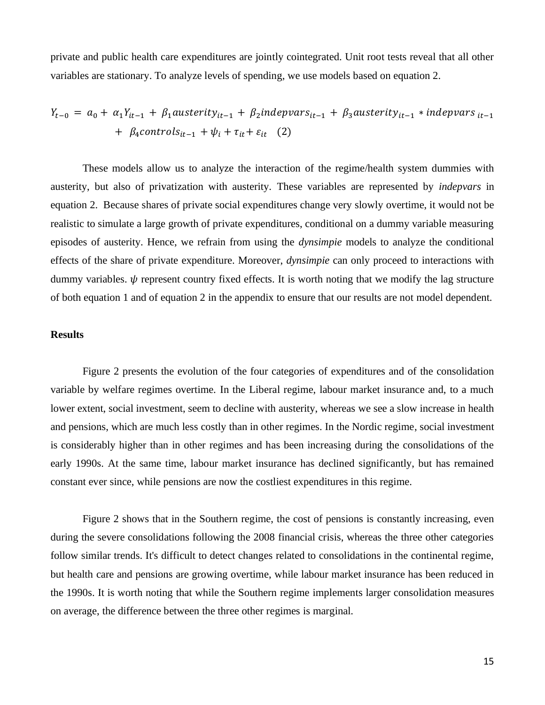private and public health care expenditures are jointly cointegrated. Unit root tests reveal that all other variables are stationary. To analyze levels of spending, we use models based on equation 2.

$$
Y_{t-0} = a_0 + \alpha_1 Y_{it-1} + \beta_1 austerity_{it-1} + \beta_2 indepvars_{it-1} + \beta_3 austerity_{it-1} * indepvars_{it-1} + \beta_4 controls_{it-1} + \psi_i + \tau_{it} + \varepsilon_{it}
$$
 (2)

These models allow us to analyze the interaction of the regime/health system dummies with austerity, but also of privatization with austerity. These variables are represented by *indepvars* in equation 2. Because shares of private social expenditures change very slowly overtime, it would not be realistic to simulate a large growth of private expenditures, conditional on a dummy variable measuring episodes of austerity. Hence, we refrain from using the *dynsimpie* models to analyze the conditional effects of the share of private expenditure. Moreover, *dynsimpie* can only proceed to interactions with dummy variables.  $\psi$  represent country fixed effects. It is worth noting that we modify the lag structure of both equation 1 and of equation 2 in the appendix to ensure that our results are not model dependent.

#### **Results**

Figure 2 presents the evolution of the four categories of expenditures and of the consolidation variable by welfare regimes overtime. In the Liberal regime, labour market insurance and, to a much lower extent, social investment, seem to decline with austerity, whereas we see a slow increase in health and pensions, which are much less costly than in other regimes. In the Nordic regime, social investment is considerably higher than in other regimes and has been increasing during the consolidations of the early 1990s. At the same time, labour market insurance has declined significantly, but has remained constant ever since, while pensions are now the costliest expenditures in this regime.

Figure 2 shows that in the Southern regime, the cost of pensions is constantly increasing, even during the severe consolidations following the 2008 financial crisis, whereas the three other categories follow similar trends. It's difficult to detect changes related to consolidations in the continental regime, but health care and pensions are growing overtime, while labour market insurance has been reduced in the 1990s. It is worth noting that while the Southern regime implements larger consolidation measures on average, the difference between the three other regimes is marginal.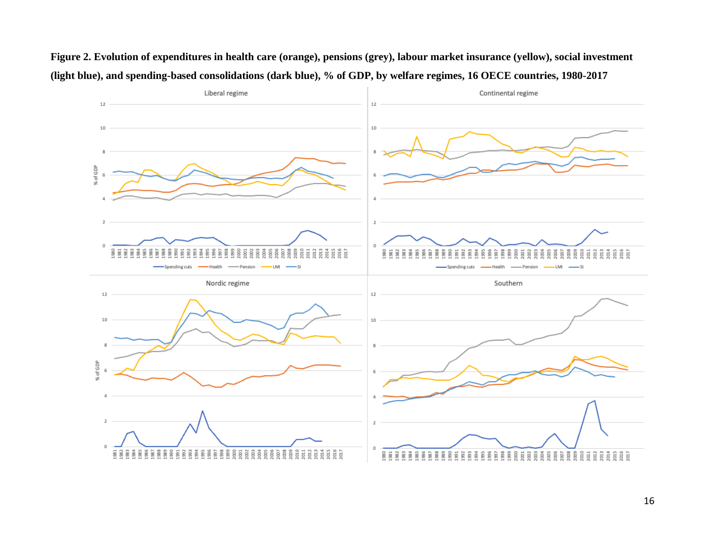

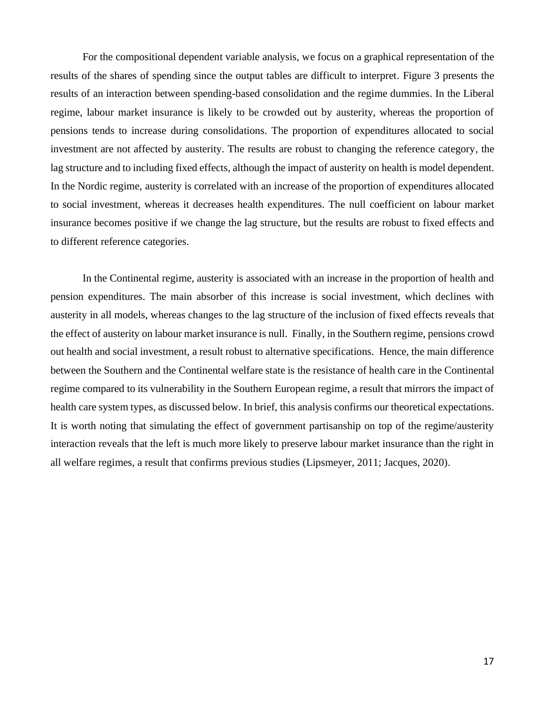For the compositional dependent variable analysis, we focus on a graphical representation of the results of the shares of spending since the output tables are difficult to interpret. Figure 3 presents the results of an interaction between spending-based consolidation and the regime dummies. In the Liberal regime, labour market insurance is likely to be crowded out by austerity, whereas the proportion of pensions tends to increase during consolidations. The proportion of expenditures allocated to social investment are not affected by austerity. The results are robust to changing the reference category, the lag structure and to including fixed effects, although the impact of austerity on health is model dependent. In the Nordic regime, austerity is correlated with an increase of the proportion of expenditures allocated to social investment, whereas it decreases health expenditures. The null coefficient on labour market insurance becomes positive if we change the lag structure, but the results are robust to fixed effects and to different reference categories.

In the Continental regime, austerity is associated with an increase in the proportion of health and pension expenditures. The main absorber of this increase is social investment, which declines with austerity in all models, whereas changes to the lag structure of the inclusion of fixed effects reveals that the effect of austerity on labour market insurance is null. Finally, in the Southern regime, pensions crowd out health and social investment, a result robust to alternative specifications. Hence, the main difference between the Southern and the Continental welfare state is the resistance of health care in the Continental regime compared to its vulnerability in the Southern European regime, a result that mirrors the impact of health care system types, as discussed below. In brief, this analysis confirms our theoretical expectations. It is worth noting that simulating the effect of government partisanship on top of the regime/austerity interaction reveals that the left is much more likely to preserve labour market insurance than the right in all welfare regimes, a result that confirms previous studies (Lipsmeyer, 2011; Jacques, 2020).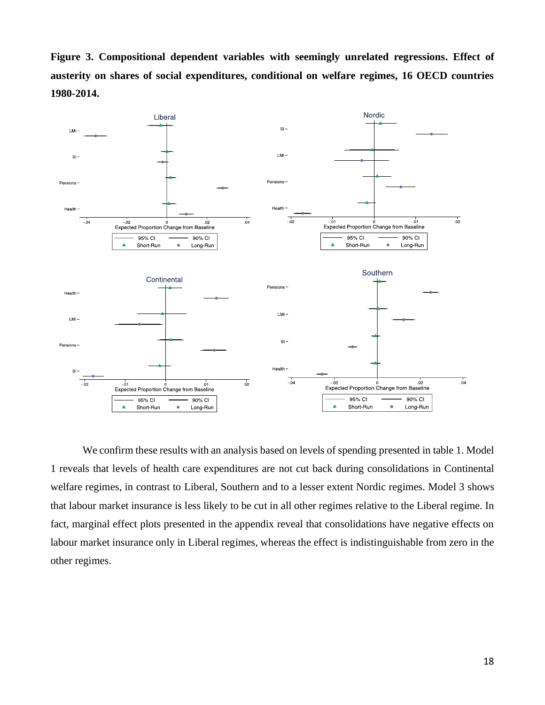**Figure 3. Compositional dependent variables with seemingly unrelated regressions. Effect of austerity on shares of social expenditures, conditional on welfare regimes, 16 OECD countries 1980-2014.** 



We confirm these results with an analysis based on levels of spending presented in table 1. Model 1 reveals that levels of health care expenditures are not cut back during consolidations in Continental welfare regimes, in contrast to Liberal, Southern and to a lesser extent Nordic regimes. Model 3 shows that labour market insurance is less likely to be cut in all other regimes relative to the Liberal regime. In fact, marginal effect plots presented in the appendix reveal that consolidations have negative effects on labour market insurance only in Liberal regimes, whereas the effect is indistinguishable from zero in the other regimes.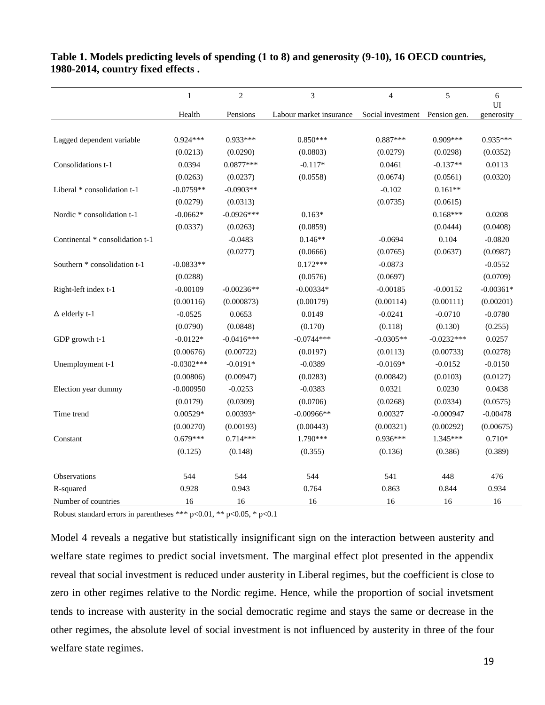|                                 | $\mathbf{1}$ | $\overline{c}$ | 3                       | $\overline{4}$                 | 5            | $6\,$<br>UI |
|---------------------------------|--------------|----------------|-------------------------|--------------------------------|--------------|-------------|
|                                 | Health       | Pensions       | Labour market insurance | Social investment Pension gen. |              | generosity  |
|                                 |              |                |                         |                                |              |             |
| Lagged dependent variable       | 0.924***     | $0.933***$     | $0.850***$              | $0.887***$                     | $0.909***$   | $0.935***$  |
|                                 | (0.0213)     | (0.0290)       | (0.0803)                | (0.0279)                       | (0.0298)     | (0.0352)    |
| Consolidations t-1              | 0.0394       | $0.0877***$    | $-0.117*$               | 0.0461                         | $-0.137**$   | 0.0113      |
|                                 | (0.0263)     | (0.0237)       | (0.0558)                | (0.0674)                       | (0.0561)     | (0.0320)    |
| Liberal * consolidation t-1     | $-0.0759**$  | $-0.0903**$    |                         | $-0.102$                       | $0.161**$    |             |
|                                 | (0.0279)     | (0.0313)       |                         | (0.0735)                       | (0.0615)     |             |
| Nordic * consolidation t-1      | $-0.0662*$   | $-0.0926***$   | $0.163*$                |                                | $0.168***$   | 0.0208      |
|                                 | (0.0337)     | (0.0263)       | (0.0859)                |                                | (0.0444)     | (0.0408)    |
| Continental * consolidation t-1 |              | $-0.0483$      | $0.146**$               | $-0.0694$                      | 0.104        | $-0.0820$   |
|                                 |              | (0.0277)       | (0.0666)                | (0.0765)                       | (0.0637)     | (0.0987)    |
| Southern * consolidation t-1    | $-0.0833**$  |                | $0.172***$              | $-0.0873$                      |              | $-0.0552$   |
|                                 | (0.0288)     |                | (0.0576)                | (0.0697)                       |              | (0.0709)    |
| Right-left index t-1            | $-0.00109$   | $-0.00236**$   | $-0.00334*$             | $-0.00185$                     | $-0.00152$   | $-0.00361*$ |
|                                 | (0.00116)    | (0.000873)     | (0.00179)               | (0.00114)                      | (0.00111)    | (0.00201)   |
| $\Delta$ elderly t-1            | $-0.0525$    | 0.0653         | 0.0149                  | $-0.0241$                      | $-0.0710$    | $-0.0780$   |
|                                 | (0.0790)     | (0.0848)       | (0.170)                 | (0.118)                        | (0.130)      | (0.255)     |
| GDP growth t-1                  | $-0.0122*$   | $-0.0416***$   | $-0.0744***$            | $-0.0305**$                    | $-0.0232***$ | 0.0257      |
|                                 | (0.00676)    | (0.00722)      | (0.0197)                | (0.0113)                       | (0.00733)    | (0.0278)    |
| Unemployment t-1                | $-0.0302***$ | $-0.0191*$     | $-0.0389$               | $-0.0169*$                     | $-0.0152$    | $-0.0150$   |
|                                 | (0.00806)    | (0.00947)      | (0.0283)                | (0.00842)                      | (0.0103)     | (0.0127)    |
| Election year dummy             | $-0.000950$  | $-0.0253$      | $-0.0383$               | 0.0321                         | 0.0230       | 0.0438      |
|                                 | (0.0179)     | (0.0309)       | (0.0706)                | (0.0268)                       | (0.0334)     | (0.0575)    |
| Time trend                      | $0.00529*$   | 0.00393*       | $-0.00966**$            | 0.00327                        | $-0.000947$  | $-0.00478$  |
|                                 | (0.00270)    | (0.00193)      | (0.00443)               | (0.00321)                      | (0.00292)    | (0.00675)   |
| Constant                        | $0.679***$   | $0.714***$     | $1.790***$              | $0.936***$                     | $1.345***$   | $0.710*$    |
|                                 | (0.125)      | (0.148)        | (0.355)                 | (0.136)                        | (0.386)      | (0.389)     |
| Observations                    | 544          | 544            | 544                     | 541                            | 448          | 476         |
| R-squared                       | 0.928        | 0.943          | 0.764                   | 0.863                          | 0.844        | 0.934       |
| Number of countries             | 16           | 16             | 16                      | 16                             | 16           | 16          |

**Table 1. Models predicting levels of spending (1 to 8) and generosity (9-10), 16 OECD countries, 1980-2014, country fixed effects .** 

Robust standard errors in parentheses \*\*\* p<0.01, \*\* p<0.05, \* p<0.1

Model 4 reveals a negative but statistically insignificant sign on the interaction between austerity and welfare state regimes to predict social invetsment. The marginal effect plot presented in the appendix reveal that social investment is reduced under austerity in Liberal regimes, but the coefficient is close to zero in other regimes relative to the Nordic regime. Hence, while the proportion of social invetsment tends to increase with austerity in the social democratic regime and stays the same or decrease in the other regimes, the absolute level of social investment is not influenced by austerity in three of the four welfare state regimes.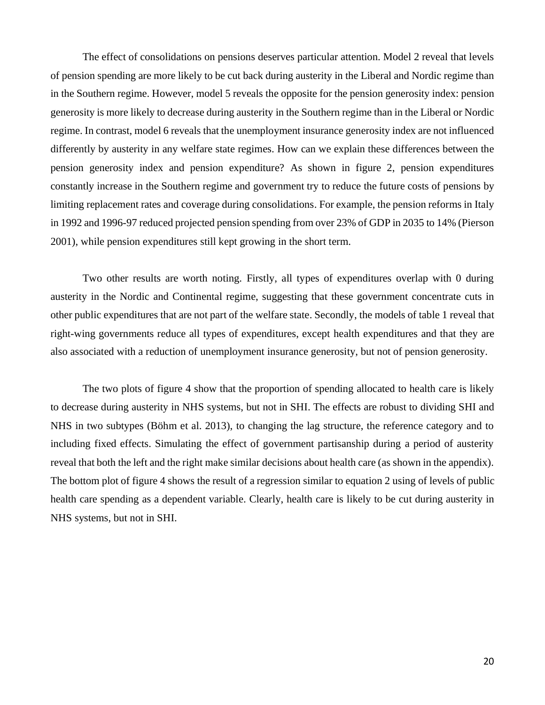The effect of consolidations on pensions deserves particular attention. Model 2 reveal that levels of pension spending are more likely to be cut back during austerity in the Liberal and Nordic regime than in the Southern regime. However, model 5 reveals the opposite for the pension generosity index: pension generosity is more likely to decrease during austerity in the Southern regime than in the Liberal or Nordic regime. In contrast, model 6 reveals that the unemployment insurance generosity index are not influenced differently by austerity in any welfare state regimes. How can we explain these differences between the pension generosity index and pension expenditure? As shown in figure 2, pension expenditures constantly increase in the Southern regime and government try to reduce the future costs of pensions by limiting replacement rates and coverage during consolidations. For example, the pension reforms in Italy in 1992 and 1996-97 reduced projected pension spending from over 23% of GDP in 2035 to 14% (Pierson 2001), while pension expenditures still kept growing in the short term.

Two other results are worth noting. Firstly, all types of expenditures overlap with 0 during austerity in the Nordic and Continental regime, suggesting that these government concentrate cuts in other public expenditures that are not part of the welfare state. Secondly, the models of table 1 reveal that right-wing governments reduce all types of expenditures, except health expenditures and that they are also associated with a reduction of unemployment insurance generosity, but not of pension generosity.

The two plots of figure 4 show that the proportion of spending allocated to health care is likely to decrease during austerity in NHS systems, but not in SHI. The effects are robust to dividing SHI and NHS in two subtypes (Böhm et al. 2013), to changing the lag structure, the reference category and to including fixed effects. Simulating the effect of government partisanship during a period of austerity reveal that both the left and the right make similar decisions about health care (as shown in the appendix). The bottom plot of figure 4 shows the result of a regression similar to equation 2 using of levels of public health care spending as a dependent variable. Clearly, health care is likely to be cut during austerity in NHS systems, but not in SHI.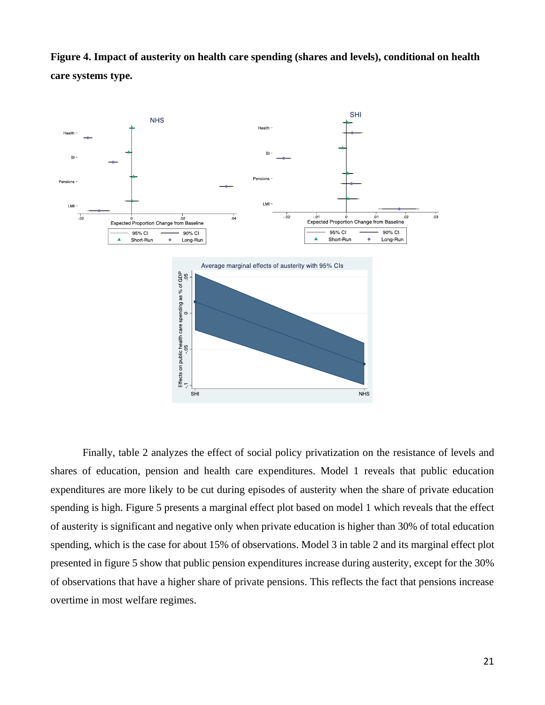**Figure 4. Impact of austerity on health care spending (shares and levels), conditional on health care systems type.** 



Finally, table 2 analyzes the effect of social policy privatization on the resistance of levels and shares of education, pension and health care expenditures. Model 1 reveals that public education expenditures are more likely to be cut during episodes of austerity when the share of private education spending is high. Figure 5 presents a marginal effect plot based on model 1 which reveals that the effect of austerity is significant and negative only when private education is higher than 30% of total education spending, which is the case for about 15% of observations. Model 3 in table 2 and its marginal effect plot presented in figure 5 show that public pension expenditures increase during austerity, except for the 30% of observations that have a higher share of private pensions. This reflects the fact that pensions increase overtime in most welfare regimes.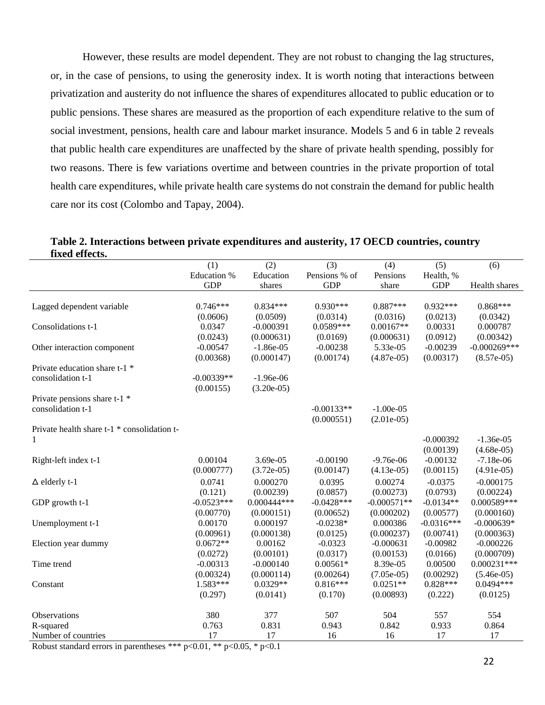However, these results are model dependent. They are not robust to changing the lag structures, or, in the case of pensions, to using the generosity index. It is worth noting that interactions between privatization and austerity do not influence the shares of expenditures allocated to public education or to public pensions. These shares are measured as the proportion of each expenditure relative to the sum of social investment, pensions, health care and labour market insurance. Models 5 and 6 in table 2 reveals that public health care expenditures are unaffected by the share of private health spending, possibly for two reasons. There is few variations overtime and between countries in the private proportion of total health care expenditures, while private health care systems do not constrain the demand for public health care nor its cost (Colombo and Tapay, 2004).

**Table 2. Interactions between private expenditures and austerity, 17 OECD countries, country fixed effects.**

|                                                         | (1)                         | (2)           | (3)           | (4)           | (5)          | (6)             |
|---------------------------------------------------------|-----------------------------|---------------|---------------|---------------|--------------|-----------------|
|                                                         | Education %                 | Education     | Pensions % of | Pensions      | Health, %    |                 |
|                                                         | <b>GDP</b>                  | shares        | <b>GDP</b>    | share         | <b>GDP</b>   | Health shares   |
|                                                         |                             |               |               |               |              |                 |
| Lagged dependent variable                               | $0.746***$                  | $0.834***$    | $0.930***$    | $0.887***$    | $0.932***$   | $0.868***$      |
|                                                         | (0.0606)                    | (0.0509)      | (0.0314)      | (0.0316)      | (0.0213)     | (0.0342)        |
| Consolidations t-1                                      | 0.0347                      | $-0.000391$   | $0.0589***$   | $0.00167**$   | 0.00331      | 0.000787        |
|                                                         | (0.0243)                    | (0.000631)    | (0.0169)      | (0.000631)    | (0.0912)     | (0.00342)       |
| Other interaction component                             | $-0.00547$                  | $-1.86e-05$   | $-0.00238$    | 5.33e-05      | $-0.00239$   | $-0.000269$ *** |
|                                                         | (0.00368)                   | (0.000147)    | (0.00174)     | $(4.87e-05)$  | (0.00317)    | $(8.57e-05)$    |
| Private education share t-1 *                           |                             |               |               |               |              |                 |
| consolidation t-1                                       | $-0.00339**$                | $-1.96e-06$   |               |               |              |                 |
|                                                         | (0.00155)                   | $(3.20e-05)$  |               |               |              |                 |
| Private pensions share t-1 *                            |                             |               |               |               |              |                 |
| consolidation t-1                                       |                             |               | $-0.00133**$  | $-1.00e-0.5$  |              |                 |
|                                                         |                             |               | (0.000551)    | $(2.01e-05)$  |              |                 |
| Private health share t-1 * consolidation t-             |                             |               |               |               |              |                 |
|                                                         |                             |               |               |               | $-0.000392$  | $-1.36e-05$     |
|                                                         |                             |               |               |               | (0.00139)    | $(4.68e-05)$    |
| Right-left index t-1                                    | 0.00104                     | 3.69e-05      | $-0.00190$    | $-9.76e-06$   | $-0.00132$   | $-7.18e-06$     |
|                                                         | (0.000777)                  | $(3.72e-05)$  | (0.00147)     | $(4.13e-05)$  | (0.00115)    | $(4.91e-05)$    |
| $\Delta$ elderly t-1                                    | 0.0741                      | 0.000270      | 0.0395        | 0.00274       | $-0.0375$    | $-0.000175$     |
|                                                         | (0.121)                     | (0.00239)     | (0.0857)      | (0.00273)     | (0.0793)     | (0.00224)       |
| GDP growth t-1                                          | $-0.0523***$                | $0.000444***$ | $-0.0428***$  | $-0.000571**$ | $-0.0134**$  | 0.000589***     |
|                                                         | (0.00770)                   | (0.000151)    | (0.00652)     | (0.000202)    | (0.00577)    | (0.000160)      |
| Unemployment t-1                                        | 0.00170                     | 0.000197      | $-0.0238*$    | 0.000386      | $-0.0316***$ | $-0.000639*$    |
|                                                         | (0.00961)                   | (0.000138)    | (0.0125)      | (0.000237)    | (0.00741)    | (0.000363)      |
| Election year dummy                                     | $0.0672**$                  | 0.00162       | $-0.0323$     | $-0.000631$   | $-0.00982$   | $-0.000226$     |
|                                                         | (0.0272)                    | (0.00101)     | (0.0317)      | (0.00153)     | (0.0166)     | (0.000709)      |
| Time trend                                              | $-0.00313$                  | $-0.000140$   | $0.00561*$    | 8.39e-05      | 0.00500      | $0.000231***$   |
|                                                         | (0.00324)                   | (0.000114)    | (0.00264)     | $(7.05e-05)$  | (0.00292)    | $(5.46e-05)$    |
| Constant                                                | $1.583***$                  | $0.0329**$    | $0.816***$    | $0.0251**$    | $0.828***$   | $0.0494***$     |
|                                                         | (0.297)                     | (0.0141)      | (0.170)       | (0.00893)     | (0.222)      | (0.0125)        |
| Observations                                            | 380                         | 377           | 507           | 504           | 557          | 554             |
| R-squared                                               | 0.763                       | 0.831         | 0.943         | 0.842         | 0.933        | 0.864           |
| Number of countries                                     | 17                          | 17            | 16            | 16            | 17           | 17              |
| المدك الملد<br>Distance in a state of a set of<br>出生业 … | $-0.01$ ** $-0.05$ * $-0.1$ |               |               |               |              |                 |

Robust standard errors in parentheses \*\*\*  $p<0.01$ , \*\*  $p<0.05$ , \*  $p<0.1$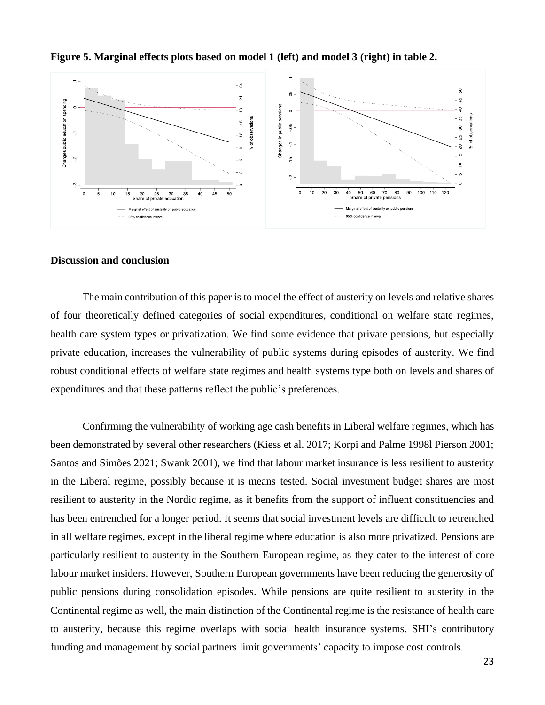

**Figure 5. Marginal effects plots based on model 1 (left) and model 3 (right) in table 2.** 

#### **Discussion and conclusion**

The main contribution of this paper is to model the effect of austerity on levels and relative shares of four theoretically defined categories of social expenditures, conditional on welfare state regimes, health care system types or privatization. We find some evidence that private pensions, but especially private education, increases the vulnerability of public systems during episodes of austerity. We find robust conditional effects of welfare state regimes and health systems type both on levels and shares of expenditures and that these patterns reflect the public's preferences.

Confirming the vulnerability of working age cash benefits in Liberal welfare regimes, which has been demonstrated by several other researchers (Kiess et al. 2017; Korpi and Palme 1998l Pierson 2001; Santos and Simões 2021; Swank 2001), we find that labour market insurance is less resilient to austerity in the Liberal regime, possibly because it is means tested. Social investment budget shares are most resilient to austerity in the Nordic regime, as it benefits from the support of influent constituencies and has been entrenched for a longer period. It seems that social investment levels are difficult to retrenched in all welfare regimes, except in the liberal regime where education is also more privatized. Pensions are particularly resilient to austerity in the Southern European regime, as they cater to the interest of core labour market insiders. However, Southern European governments have been reducing the generosity of public pensions during consolidation episodes. While pensions are quite resilient to austerity in the Continental regime as well, the main distinction of the Continental regime is the resistance of health care to austerity, because this regime overlaps with social health insurance systems. SHI's contributory funding and management by social partners limit governments' capacity to impose cost controls.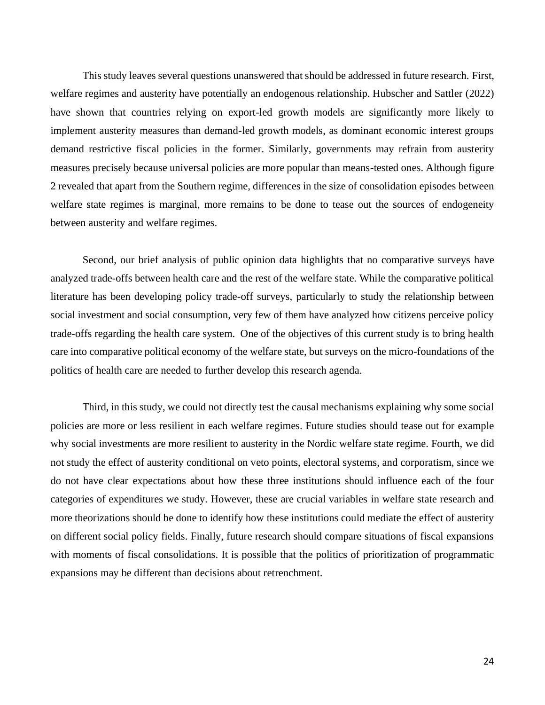This study leaves several questions unanswered that should be addressed in future research. First, welfare regimes and austerity have potentially an endogenous relationship. Hubscher and Sattler (2022) have shown that countries relying on export-led growth models are significantly more likely to implement austerity measures than demand-led growth models, as dominant economic interest groups demand restrictive fiscal policies in the former. Similarly, governments may refrain from austerity measures precisely because universal policies are more popular than means-tested ones. Although figure 2 revealed that apart from the Southern regime, differences in the size of consolidation episodes between welfare state regimes is marginal, more remains to be done to tease out the sources of endogeneity between austerity and welfare regimes.

Second, our brief analysis of public opinion data highlights that no comparative surveys have analyzed trade-offs between health care and the rest of the welfare state. While the comparative political literature has been developing policy trade-off surveys, particularly to study the relationship between social investment and social consumption, very few of them have analyzed how citizens perceive policy trade-offs regarding the health care system. One of the objectives of this current study is to bring health care into comparative political economy of the welfare state, but surveys on the micro-foundations of the politics of health care are needed to further develop this research agenda.

Third, in this study, we could not directly test the causal mechanisms explaining why some social policies are more or less resilient in each welfare regimes. Future studies should tease out for example why social investments are more resilient to austerity in the Nordic welfare state regime. Fourth, we did not study the effect of austerity conditional on veto points, electoral systems, and corporatism, since we do not have clear expectations about how these three institutions should influence each of the four categories of expenditures we study. However, these are crucial variables in welfare state research and more theorizations should be done to identify how these institutions could mediate the effect of austerity on different social policy fields. Finally, future research should compare situations of fiscal expansions with moments of fiscal consolidations. It is possible that the politics of prioritization of programmatic expansions may be different than decisions about retrenchment.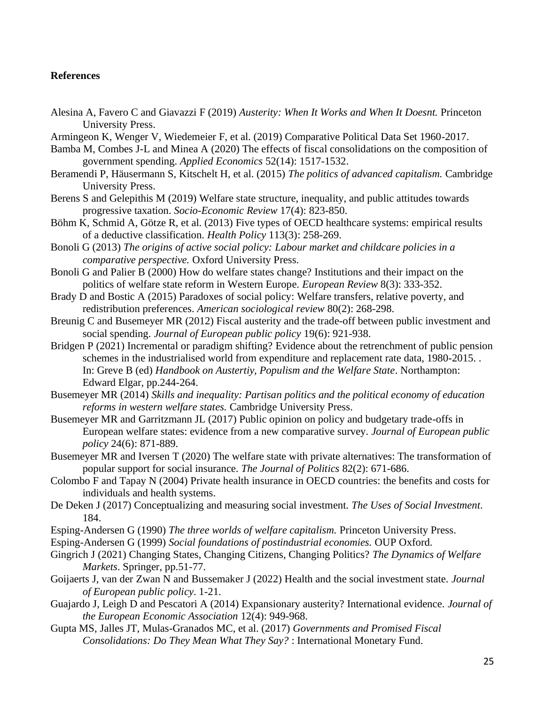## **References**

Alesina A, Favero C and Giavazzi F (2019) *Austerity: When It Works and When It Doesnt.* Princeton University Press.

Armingeon K, Wenger V, Wiedemeier F, et al. (2019) Comparative Political Data Set 1960-2017.

- Bamba M, Combes J-L and Minea A (2020) The effects of fiscal consolidations on the composition of government spending. *Applied Economics* 52(14): 1517-1532.
- Beramendi P, Häusermann S, Kitschelt H, et al. (2015) *The politics of advanced capitalism.* Cambridge University Press.
- Berens S and Gelepithis M (2019) Welfare state structure, inequality, and public attitudes towards progressive taxation. *Socio-Economic Review* 17(4): 823-850.
- Böhm K, Schmid A, Götze R, et al. (2013) Five types of OECD healthcare systems: empirical results of a deductive classification. *Health Policy* 113(3): 258-269.

Bonoli G (2013) *The origins of active social policy: Labour market and childcare policies in a comparative perspective.* Oxford University Press.

- Bonoli G and Palier B (2000) How do welfare states change? Institutions and their impact on the politics of welfare state reform in Western Europe. *European Review* 8(3): 333-352.
- Brady D and Bostic A (2015) Paradoxes of social policy: Welfare transfers, relative poverty, and redistribution preferences. *American sociological review* 80(2): 268-298.

Breunig C and Busemeyer MR (2012) Fiscal austerity and the trade-off between public investment and social spending. *Journal of European public policy* 19(6): 921-938.

- Bridgen P (2021) Incremental or paradigm shifting? Evidence about the retrenchment of public pension schemes in the industrialised world from expenditure and replacement rate data, 1980-2015. . In: Greve B (ed) *Handbook on Austertiy, Populism and the Welfare State*. Northampton: Edward Elgar, pp.244-264.
- Busemeyer MR (2014) *Skills and inequality: Partisan politics and the political economy of education reforms in western welfare states.* Cambridge University Press.
- Busemeyer MR and Garritzmann JL (2017) Public opinion on policy and budgetary trade-offs in European welfare states: evidence from a new comparative survey. *Journal of European public policy* 24(6): 871-889.
- Busemeyer MR and Iversen T (2020) The welfare state with private alternatives: The transformation of popular support for social insurance. *The Journal of Politics* 82(2): 671-686.
- Colombo F and Tapay N (2004) Private health insurance in OECD countries: the benefits and costs for individuals and health systems.
- De Deken J (2017) Conceptualizing and measuring social investment. *The Uses of Social Investment*. 184.
- Esping-Andersen G (1990) *The three worlds of welfare capitalism.* Princeton University Press.
- Esping-Andersen G (1999) *Social foundations of postindustrial economies.* OUP Oxford.
- Gingrich J (2021) Changing States, Changing Citizens, Changing Politics? *The Dynamics of Welfare Markets*. Springer, pp.51-77.
- Goijaerts J, van der Zwan N and Bussemaker J (2022) Health and the social investment state. *Journal of European public policy*. 1-21.
- Guajardo J, Leigh D and Pescatori A (2014) Expansionary austerity? International evidence. *Journal of the European Economic Association* 12(4): 949-968.
- Gupta MS, Jalles JT, Mulas-Granados MC, et al. (2017) *Governments and Promised Fiscal Consolidations: Do They Mean What They Say?* : International Monetary Fund.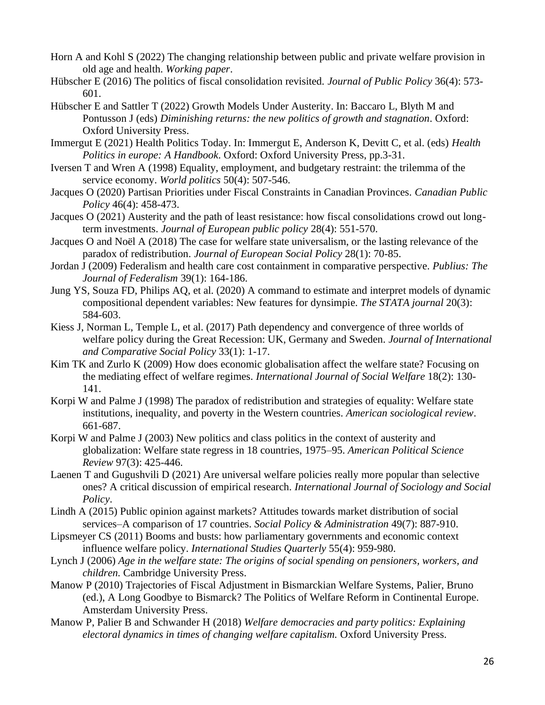- Horn A and Kohl S (2022) The changing relationship between public and private welfare provision in old age and health. *Working paper*.
- Hübscher E (2016) The politics of fiscal consolidation revisited. *Journal of Public Policy* 36(4): 573- 601.
- Hübscher E and Sattler T (2022) Growth Models Under Austerity. In: Baccaro L, Blyth M and Pontusson J (eds) *Diminishing returns: the new politics of growth and stagnation*. Oxford: Oxford University Press.
- Immergut E (2021) Health Politics Today. In: Immergut E, Anderson K, Devitt C, et al. (eds) *Health Politics in europe: A Handbook*. Oxford: Oxford University Press, pp.3-31.
- Iversen T and Wren A (1998) Equality, employment, and budgetary restraint: the trilemma of the service economy. *World politics* 50(4): 507-546.
- Jacques O (2020) Partisan Priorities under Fiscal Constraints in Canadian Provinces. *Canadian Public Policy* 46(4): 458-473.
- Jacques O (2021) Austerity and the path of least resistance: how fiscal consolidations crowd out longterm investments. *Journal of European public policy* 28(4): 551-570.
- Jacques O and Noël A (2018) The case for welfare state universalism, or the lasting relevance of the paradox of redistribution. *Journal of European Social Policy* 28(1): 70-85.
- Jordan J (2009) Federalism and health care cost containment in comparative perspective. *Publius: The Journal of Federalism* 39(1): 164-186.
- Jung YS, Souza FD, Philips AQ, et al. (2020) A command to estimate and interpret models of dynamic compositional dependent variables: New features for dynsimpie. *The STATA journal* 20(3): 584-603.
- Kiess J, Norman L, Temple L, et al. (2017) Path dependency and convergence of three worlds of welfare policy during the Great Recession: UK, Germany and Sweden. *Journal of International and Comparative Social Policy* 33(1): 1-17.
- Kim TK and Zurlo K (2009) How does economic globalisation affect the welfare state? Focusing on the mediating effect of welfare regimes. *International Journal of Social Welfare* 18(2): 130- 141.
- Korpi W and Palme J (1998) The paradox of redistribution and strategies of equality: Welfare state institutions, inequality, and poverty in the Western countries. *American sociological review*. 661-687.
- Korpi W and Palme J (2003) New politics and class politics in the context of austerity and globalization: Welfare state regress in 18 countries, 1975–95. *American Political Science Review* 97(3): 425-446.
- Laenen T and Gugushvili D (2021) Are universal welfare policies really more popular than selective ones? A critical discussion of empirical research. *International Journal of Sociology and Social Policy*.
- Lindh A (2015) Public opinion against markets? Attitudes towards market distribution of social services–A comparison of 17 countries. *Social Policy & Administration* 49(7): 887-910.
- Lipsmeyer CS (2011) Booms and busts: how parliamentary governments and economic context influence welfare policy. *International Studies Quarterly* 55(4): 959-980.
- Lynch J (2006) *Age in the welfare state: The origins of social spending on pensioners, workers, and children.* Cambridge University Press.
- Manow P (2010) Trajectories of Fiscal Adjustment in Bismarckian Welfare Systems, Palier, Bruno (ed.), A Long Goodbye to Bismarck? The Politics of Welfare Reform in Continental Europe. Amsterdam University Press.
- Manow P, Palier B and Schwander H (2018) *Welfare democracies and party politics: Explaining electoral dynamics in times of changing welfare capitalism.* Oxford University Press.